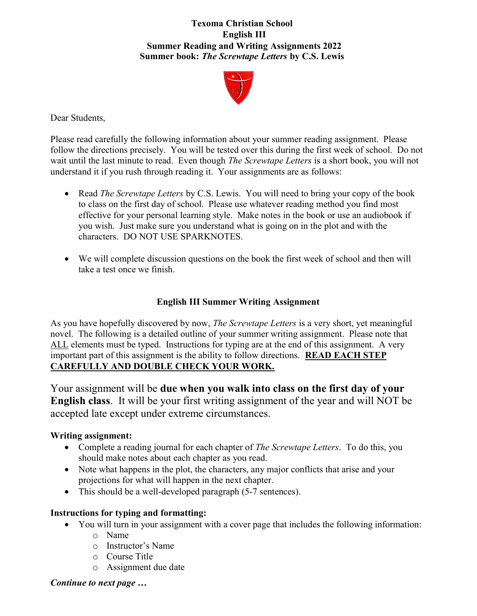## Texoma Christian School English III Summer Reading and Writing Assignments **2022**  Summer book: The Screwtape Letters by C.S. Lewis



Dear Students,

Please read carefully the following information about your summer reading assignment. Please follow the directions precisely. You will be tested over this during the first week of school. Do not wait until the last minute to read. Even though *The Screwtape Letters* is a short book, you will not understand it if you rush through reading it. Your assignments are as follows:

- Read *The Screwtape Letters* by C.S. Lewis. You will need to bring your copy of the book to class on the first day of school. Please use whatever reading method you find most effective for your personal learning style. Make notes in the book or use an audiobook if you wish. Just make sure you understand what is going on in the plot and with the characters. DO NOT USE SPARKNOTES.
- We will complete discussion questions on the book the first week of school and then will take a test once we finish.

# English III Summer Writing Assignment

As you have hopefully discovered by now, *The Screwtape Letters* is a very short, yet meaningful novel. The following is a detailed outline of your summer writing assignment. Please note that ALL elements must be typed. Instructions for typing are at the end of this assignment. A very important part of this assignment is the ability to follow directions. READ EACH STEP CAREFULLY AND DOUBLE CHECK YOUR WORK.

Your assignment will be due when you walk into class on the first day of your English class. It will be your first writing assignment of the year and will NOT be accepted late except under extreme circumstances.

## Writing assignment:

- Complete a reading journal for each chapter of *The Screwtape Letters*. To do this, you should make notes about each chapter as you read.
- Note what happens in the plot, the characters, any major conflicts that arise and your projections for what will happen in the next chapter.
- This should be a well-developed paragraph (5-7 sentences).

# Instructions for typing and formatting:

- You will turn in your assignment with a cover page that includes the following information:
	- o Name
	- o Instructor's Name
	- o Course Title
	- o Assignment due date

# Continue to next page …